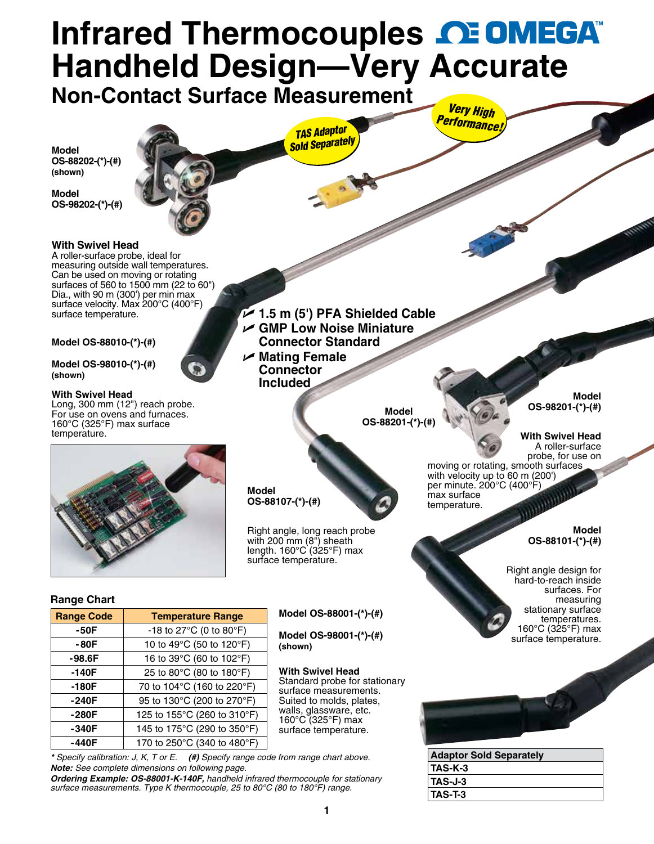## **Infrared Thermocouples <u>CEOMEGA</u> Handheld Design—Very [Accurate](www.omega.com) Non-Contact Surface Measurement**